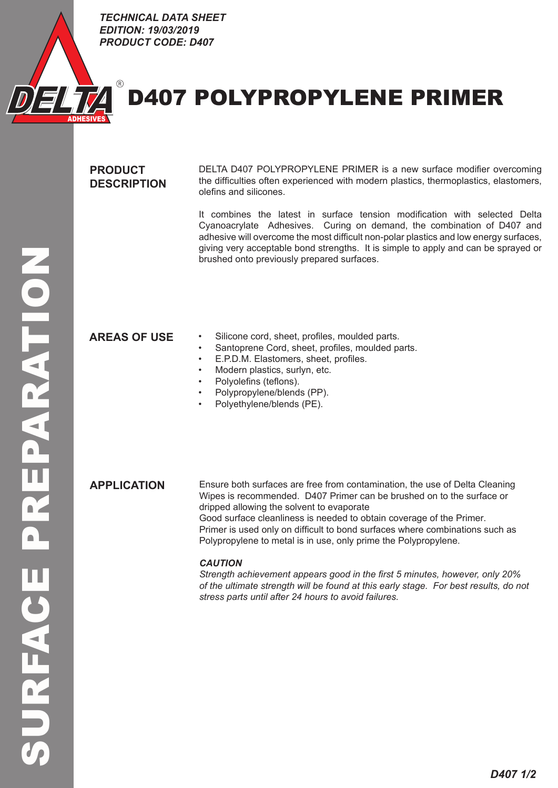

*TECHNICAL DATA SHEET EDITION: 19/03/2019 PRODUCT CODE: D407* ECHNICAL DATA SHEET<br>:DITION: 19/03/2019<br>!RODUCT CODE: D407

# D407 POLYPROPYLENE PRIMER

# **PRODUCT DESCRIPTION**

R

DELTA D407 POLYPROPYLENE PRIMER is a new surface modifier overcoming the difficulties often experienced with modern plastics, thermoplastics, elastomers, olefins and silicones.

It combines the latest in surface tension modification with selected Delta Cyanoacrylate Adhesives. Curing on demand, the combination of D407 and adhesive will overcome the most difficult non-polar plastics and low energy surfaces, giving very acceptable bond strengths. It is simple to apply and can be sprayed or brushed onto previously prepared surfaces.

- **AREAS OF USE** Silicone cord, sheet, profiles, moulded parts.
	- Santoprene Cord, sheet, profiles, moulded parts.
	- E.P.D.M. Elastomers, sheet, profiles.
	- Modern plastics, surlyn, etc.
	- Polyolefins (teflons).
	- Polypropylene/blends (PP).
	- Polyethylene/blends (PE).

**APPLICATION** Ensure both surfaces are free from contamination, the use of Delta Cleaning Wipes is recommended. D407 Primer can be brushed on to the surface or dripped allowing the solvent to evaporate Good surface cleanliness is needed to obtain coverage of the Primer.

Primer is used only on difficult to bond surfaces where combinations such as Polypropylene to metal is in use, only prime the Polypropylene.

### *CAUTION*

*Strength achievement appears good in the first 5 minutes, however, only 20% of the ultimate strength will be found at this early stage. For best results, do not stress parts until after 24 hours to avoid failures.*